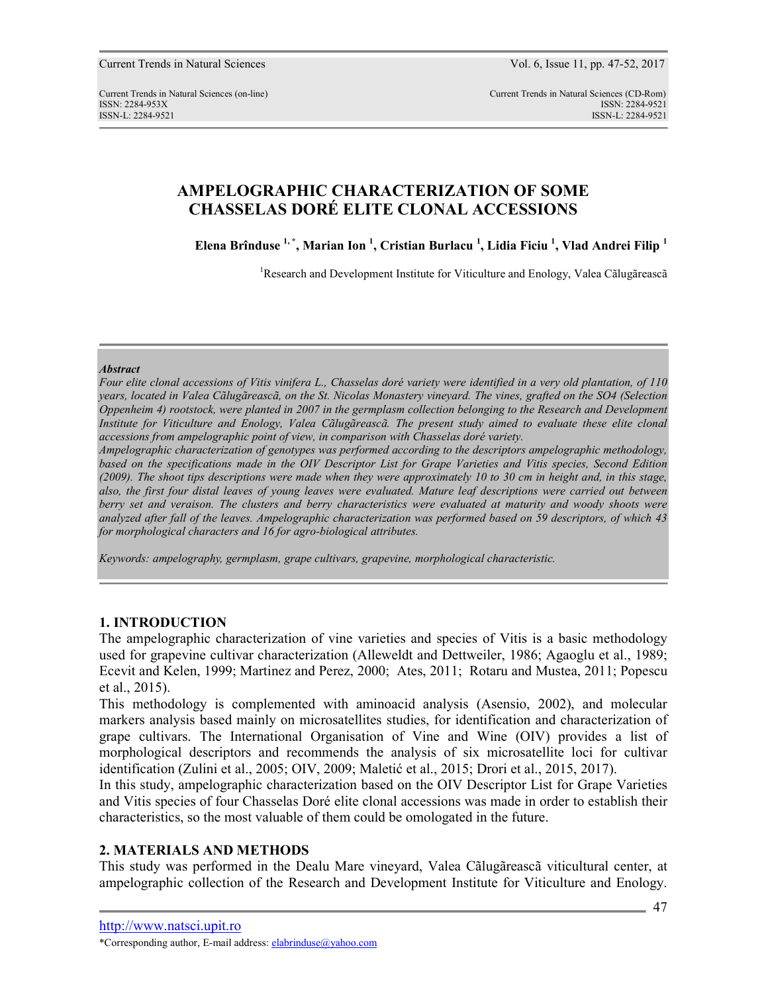Current Trends in Natural Sciences (on-line) Current Trends in Natural Sciences (CD-Rom) ISSN: 2284-953XISSN: 2284-9521 ISSN-L: 2284-9521 ISSN-L: 2284-9521

# **AMPELOGRAPHIC CHARACTERIZATION OF SOME CHASSELAS DORÉ ELITE CLONAL ACCESSIONS**

**Elena Brînduse 1, \*, Marian Ion <sup>1</sup> , Cristian Burlacu <sup>1</sup> , Lidia Ficiu <sup>1</sup> , Vlad Andrei Filip <sup>1</sup>**

<sup>1</sup>Research and Development Institute for Viticulture and Enology, Valea Cãlugãreascã

#### *Abstract*

*Four elite clonal accessions of Vitis vinifera L., Chasselas doré variety were identified in a very old plantation, of 110 years, located in Valea Cãlugãreascã, on the St. Nicolas Monastery vineyard. The vines, grafted on the SO4 (Selection Oppenheim 4) rootstock, were planted in 2007 in the germplasm collection belonging to the Research and Development Institute for Viticulture and Enology, Valea Cãlugãreascã. The present study aimed to evaluate these elite clonal accessions from ampelographic point of view, in comparison with Chasselas doré variety.* 

*Ampelographic characterization of genotypes was performed according to the descriptors ampelographic methodology, based on the specifications made in the OIV Descriptor List for Grape Varieties and Vitis species, Second Edition (2009). The shoot tips descriptions were made when they were approximately 10 to 30 cm in height and, in this stage, also, the first four distal leaves of young leaves were evaluated. Mature leaf descriptions were carried out between berry set and veraison. The clusters and berry characteristics were evaluated at maturity and woody shoots were analyzed after fall of the leaves. Ampelographic characterization was performed based on 59 descriptors, of which 43 for morphological characters and 16 for agro-biological attributes.* 

*Keywords: ampelography, germplasm, grape cultivars, grapevine, morphological characteristic.* 

# **1. INTRODUCTION**

The ampelographic characterization of vine varieties and species of Vitis is a basic methodology used for grapevine cultivar characterization (Alleweldt and Dettweiler, 1986; Agaoglu et al., 1989; Ecevit and Kelen, 1999; Martinez and Perez, 2000; Ates, 2011; Rotaru and Mustea, 2011; Popescu et al., 2015).

This methodology is complemented with aminoacid analysis (Asensio, 2002), and molecular markers analysis based mainly on microsatellites studies, for identification and characterization of grape cultivars. The International Organisation of Vine and Wine (OIV) provides a list of morphological descriptors and recommends the analysis of six microsatellite loci for cultivar identification (Zulini et al., 2005; OIV, 2009; Maletić et al., 2015; Drori et al., 2015, 2017).

In this study, ampelographic characterization based on the OIV Descriptor List for Grape Varieties and Vitis species of four Chasselas Doré elite clonal accessions was made in order to establish their characteristics, so the most valuable of them could be omologated in the future.

## **2. MATERIALS AND METHODS**

This study was performed in the Dealu Mare vineyard, Valea Cãlugãreascã viticultural center, at ampelographic collection of the Research and Development Institute for Viticulture and Enology.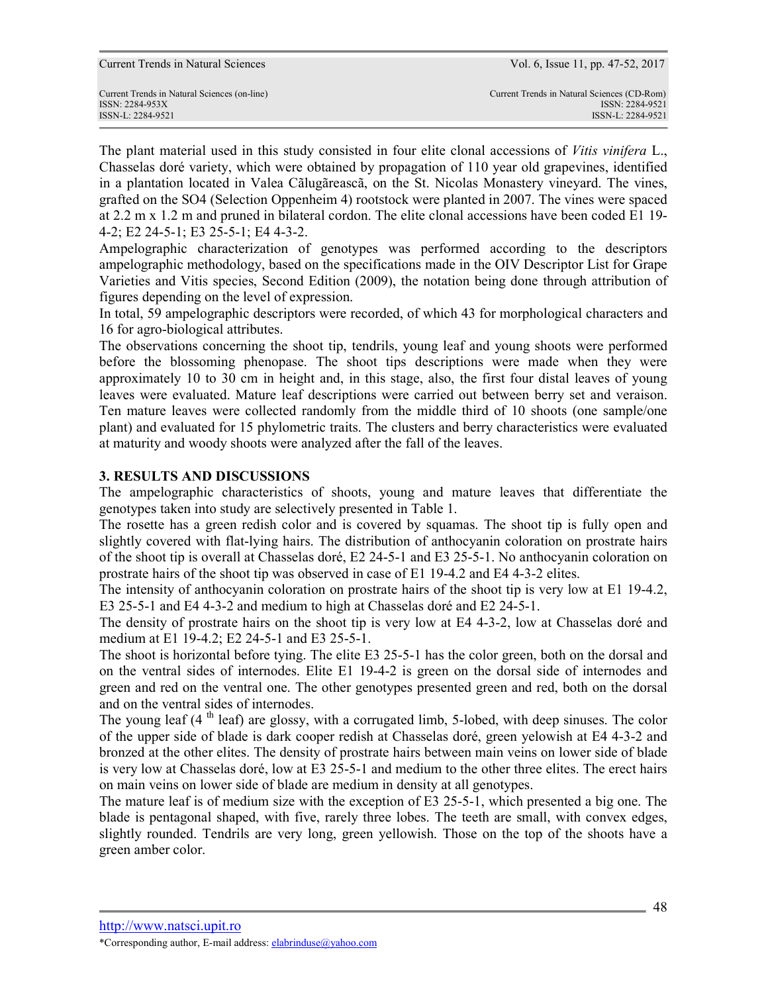ISSN-L: 2284-9521 ISSN-L: 2284-9521

The plant material used in this study consisted in four elite clonal accessions of *Vitis vinifera* L., Chasselas doré variety, which were obtained by propagation of 110 year old grapevines, identified in a plantation located in Valea Cãlugãreascã, on the St. Nicolas Monastery vineyard. The vines, grafted on the SO4 (Selection Oppenheim 4) rootstock were planted in 2007. The vines were spaced at 2.2 m x 1.2 m and pruned in bilateral cordon. The elite clonal accessions have been coded E1 19- 4-2; E2 24-5-1; E3 25-5-1; E4 4-3-2.

Ampelographic characterization of genotypes was performed according to the descriptors ampelographic methodology, based on the specifications made in the OIV Descriptor List for Grape Varieties and Vitis species, Second Edition (2009), the notation being done through attribution of figures depending on the level of expression.

In total, 59 ampelographic descriptors were recorded, of which 43 for morphological characters and 16 for agro-biological attributes.

The observations concerning the shoot tip, tendrils, young leaf and young shoots were performed before the blossoming phenopase. The shoot tips descriptions were made when they were approximately 10 to 30 cm in height and, in this stage, also, the first four distal leaves of young leaves were evaluated. Mature leaf descriptions were carried out between berry set and veraison. Ten mature leaves were collected randomly from the middle third of 10 shoots (one sample/one plant) and evaluated for 15 phylometric traits. The clusters and berry characteristics were evaluated at maturity and woody shoots were analyzed after the fall of the leaves.

## **3. RESULTS AND DISCUSSIONS**

The ampelographic characteristics of shoots, young and mature leaves that differentiate the genotypes taken into study are selectively presented in Table 1.

The rosette has a green redish color and is covered by squamas. The shoot tip is fully open and slightly covered with flat-lying hairs. The distribution of anthocyanin coloration on prostrate hairs of the shoot tip is overall at Chasselas doré, E2 24-5-1 and E3 25-5-1. No anthocyanin coloration on prostrate hairs of the shoot tip was observed in case of E1 19-4.2 and E4 4-3-2 elites.

The intensity of anthocyanin coloration on prostrate hairs of the shoot tip is very low at E1 19-4.2, E3 25-5-1 and E4 4-3-2 and medium to high at Chasselas doré and E2 24-5-1.

The density of prostrate hairs on the shoot tip is very low at E4 4-3-2, low at Chasselas doré and medium at E1 19-4.2; E2 24-5-1 and E3 25-5-1.

The shoot is horizontal before tying. The elite E3 25-5-1 has the color green, both on the dorsal and on the ventral sides of internodes. Elite E1 19-4-2 is green on the dorsal side of internodes and green and red on the ventral one. The other genotypes presented green and red, both on the dorsal and on the ventral sides of internodes.

The young leaf  $(4<sup>th</sup>$  leaf) are glossy, with a corrugated limb, 5-lobed, with deep sinuses. The color of the upper side of blade is dark cooper redish at Chasselas doré, green yelowish at E4 4-3-2 and bronzed at the other elites. The density of prostrate hairs between main veins on lower side of blade is very low at Chasselas doré, low at E3 25-5-1 and medium to the other three elites. The erect hairs on main veins on lower side of blade are medium in density at all genotypes.

The mature leaf is of medium size with the exception of E3 25-5-1, which presented a big one. The blade is pentagonal shaped, with five, rarely three lobes. The teeth are small, with convex edges, slightly rounded. Tendrils are very long, green yellowish. Those on the top of the shoots have a green amber color.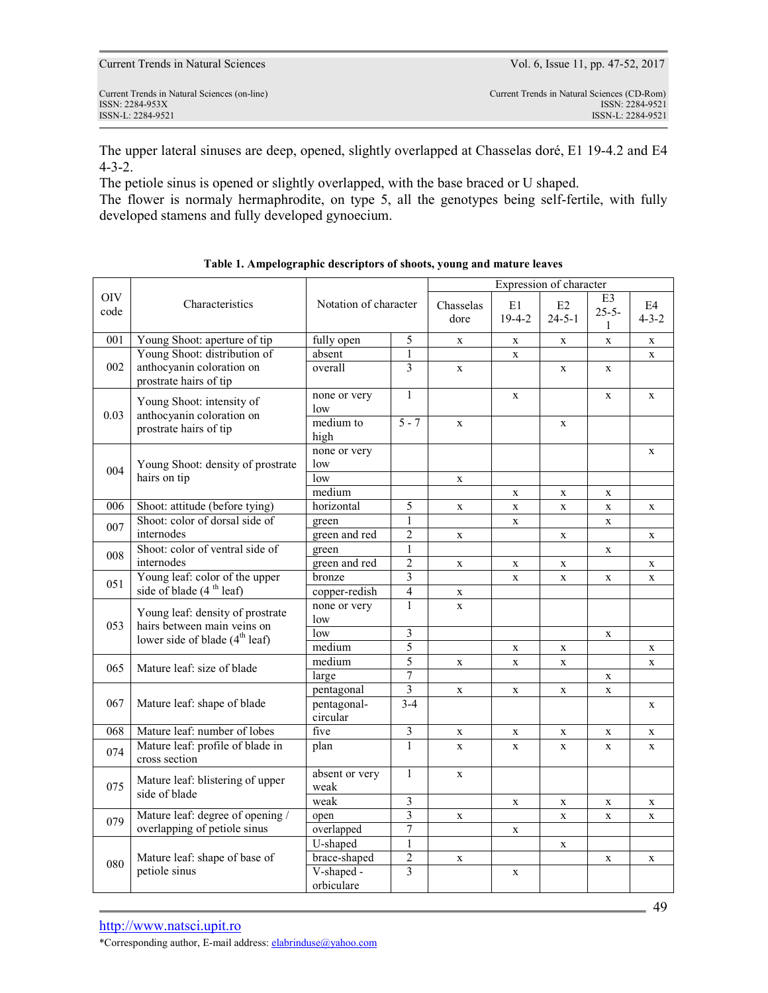| 0.03 | Young Shoot: intensity of<br>anthocyanin coloration on<br>prostrate hairs of tip | none or very<br>low     | 1                       |              | X           |              | X | X            |
|------|----------------------------------------------------------------------------------|-------------------------|-------------------------|--------------|-------------|--------------|---|--------------|
|      |                                                                                  | medium to<br>high       | $5 - 7$                 | $\mathbf{x}$ |             | X            |   |              |
|      |                                                                                  | none or very            |                         |              |             |              |   | $\mathbf{X}$ |
| 004  | Young Shoot: density of prostrate                                                | low                     |                         |              |             |              |   |              |
|      | hairs on tip                                                                     | low                     |                         | X            |             |              |   |              |
|      |                                                                                  | medium                  |                         |              | X           | X            | X |              |
| 006  | Shoot: attitude (before tying)                                                   | horizontal              | 5                       | X            | X           | X            | X | X            |
| 007  | Shoot: color of dorsal side of                                                   | green                   | $\mathbf{1}$            |              | X           |              | X |              |
|      | internodes                                                                       | green and red           | $\overline{2}$          | $\mathbf x$  |             | $\mathbf{X}$ |   | $\mathbf x$  |
| 008  | Shoot: color of ventral side of                                                  | green                   | $\mathbf{1}$            |              |             |              | X |              |
|      | internodes                                                                       | green and red           | $\overline{2}$          | X            | X           | X            |   | X            |
| 051  | Young leaf: color of the upper                                                   | bronze                  | $\overline{\mathbf{3}}$ |              | X           | X            | X | $\mathbf X$  |
|      | side of blade (4 <sup>th</sup> leaf)                                             | copper-redish           | $\overline{4}$          | X            |             |              |   |              |
|      | Young leaf: density of prostrate                                                 | none or very            | 1                       | X            |             |              |   |              |
| 053  | hairs between main veins on                                                      | low                     |                         |              |             |              |   |              |
|      | lower side of blade (4 <sup>th</sup> leaf)                                       | low                     | $\overline{\mathbf{3}}$ |              |             |              | X |              |
|      |                                                                                  | medium                  | $\overline{5}$          |              | X           | X            |   | X            |
| 065  | Mature leaf: size of blade                                                       | medium                  | $\overline{5}$          | $\mathbf x$  | X           | X            |   | X            |
|      |                                                                                  | large                   | $\overline{7}$          |              |             |              | X |              |
| 067  | Mature leaf: shape of blade                                                      | pentagonal              | $\overline{\mathbf{3}}$ | $\mathbf X$  | $\mathbf X$ | X            | X |              |
|      |                                                                                  | pentagonal-<br>circular | $3 - 4$                 |              |             |              |   | X            |
| 068  | Mature leaf: number of lobes                                                     | five                    | $\overline{\mathbf{3}}$ | $\mathbf X$  | X           | $\mathbf X$  | X | X            |
| 074  | Mature leaf: profile of blade in<br>cross section                                | plan                    | $\mathbf{1}$            | $\mathbf{x}$ | X           | X            | X | X            |
| 075  | Mature leaf: blistering of upper<br>side of blade                                | absent or very<br>weak  | $\mathbf{1}$            | $\mathbf x$  |             |              |   |              |
|      |                                                                                  | weak                    | 3                       |              | X           | X            | X | X            |
|      | Mature leaf: degree of opening /                                                 | open                    | $\overline{3}$          | X            |             | X            | X | X            |
| 079  | overlapping of petiole sinus                                                     | overlapped              | 7                       |              | X           |              |   |              |
|      |                                                                                  | U-shaped                | $\mathbf{1}$            |              |             | X            |   |              |
|      | Mature leaf: shape of base of                                                    | brace-shaped            | $\overline{2}$          | $\mathbf x$  |             |              | X | $\mathbf X$  |
| 080  | petiole sinus                                                                    | V-shaped -              | $\overline{3}$          |              | X           |              |   |              |
|      |                                                                                  | orbiculare              |                         |              |             |              |   |              |
|      |                                                                                  |                         |                         |              |             |              |   |              |
|      |                                                                                  |                         |                         |              |             |              |   |              |

001 Young Shoot: aperture of tip fully open 5 x x x x x

The upper lateral sinuses are deep, opened, slightly overlapped at Chasselas doré, E1 19-4.2 and E4 4-3-2.

The petiole sinus is opened or slightly overlapped, with the base braced or U shaped.

Characteristics Notation of character Chasselas

The flower is normaly hermaphrodite, on type 5, all the genotypes being self-fertile, with fully developed stamens and fully developed gynoecium.

Current Trends in Natural Sciences (on-line) Current Trends in Natural Sciences (CD-Rom) ISSN: 2284-953XISSN: 2284-9521

http://www.natsci.upit.ro \*Corresponding author, E-mail address: elabrinduse@yahoo.com



dore

overall 3 x x x

absent  $1 \mid x \mid x \mid x \mid x$ 

E1 19-4-2

E2 24-5-1

E3 25-5- 1

E4 4-3-2

ISSN-L: 2284-9521 ISSN-L: 2284-9521

Young Shoot: distribution of anthocyanin coloration on prostrate hairs of tip

OIV

002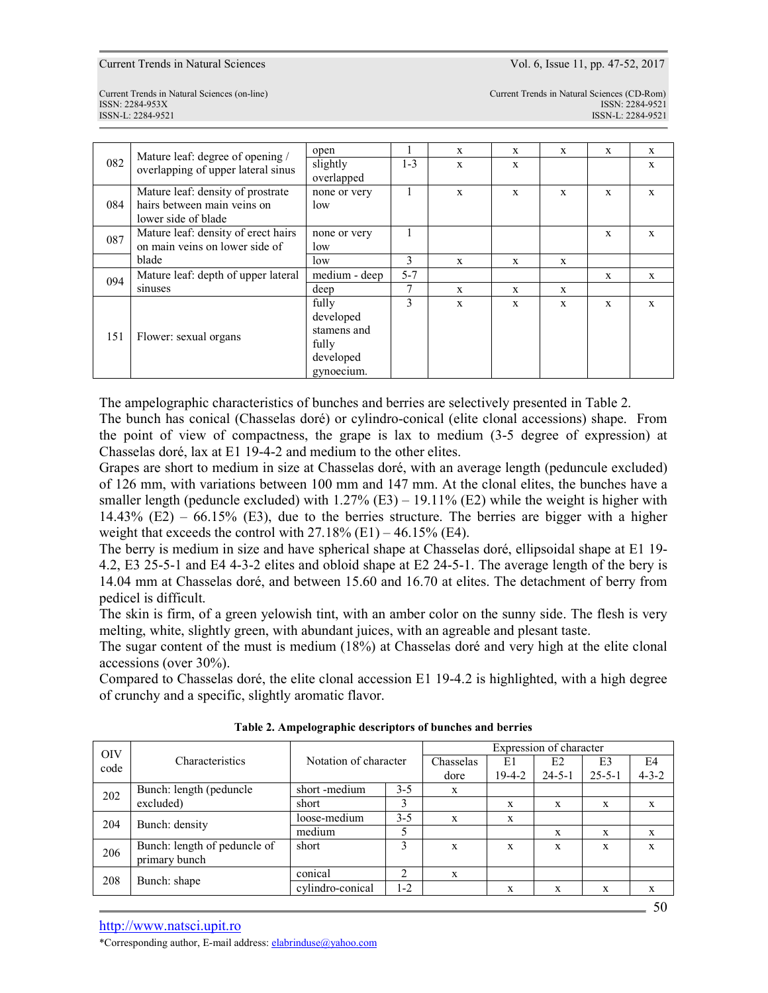Current Trends in Natural Sciences Vol. 6, Issue 11, pp. 47-52, 2017

ISSN-L: 2284-9521 ISSN-L: 2284-9521

Current Trends in Natural Sciences (on-line) Current Trends in Natural Sciences (CD-Rom) ISSN: 2284-953XISSN: 2284-9521

|     |                                                                        | open          |         | $\mathbf{x}$ | $\mathbf{x}$ | $\mathbf{x}$ | X | X            |
|-----|------------------------------------------------------------------------|---------------|---------|--------------|--------------|--------------|---|--------------|
| 082 | Mature leaf: degree of opening /<br>overlapping of upper lateral sinus | slightly      | $1 - 3$ | X            | X            |              |   | X            |
|     |                                                                        | overlapped    |         |              |              |              |   |              |
|     | Mature leaf: density of prostrate                                      | none or very  |         | X            | X            | $\mathbf{x}$ | X | $\mathbf{x}$ |
| 084 | hairs between main veins on                                            | low           |         |              |              |              |   |              |
|     | lower side of blade                                                    |               |         |              |              |              |   |              |
| 087 | Mature leaf: density of erect hairs                                    | none or very  |         |              |              |              | X | X            |
|     | on main veins on lower side of                                         | low           |         |              |              |              |   |              |
|     | blade                                                                  | low           | 3       | $\mathbf{x}$ | X            | X            |   |              |
| 094 | Mature leaf: depth of upper lateral                                    | medium - deep | $5 - 7$ |              |              |              | X | $\mathbf{x}$ |
|     | sinuses                                                                | deep          | 7       | $\mathbf{x}$ | X            | X            |   |              |
|     |                                                                        | fully         | 3       | $\mathbf{x}$ | $\mathbf{x}$ | $\mathbf{x}$ | X | $\mathbf{x}$ |
| 151 | Flower: sexual organs                                                  | developed     |         |              |              |              |   |              |
|     |                                                                        | stamens and   |         |              |              |              |   |              |
|     |                                                                        | fully         |         |              |              |              |   |              |
|     |                                                                        | developed     |         |              |              |              |   |              |
|     |                                                                        | gynoecium.    |         |              |              |              |   |              |

The ampelographic characteristics of bunches and berries are selectively presented in Table 2.

The bunch has conical (Chasselas doré) or cylindro-conical (elite clonal accessions) shape. From the point of view of compactness, the grape is lax to medium (3-5 degree of expression) at Chasselas doré, lax at E1 19-4-2 and medium to the other elites.

Grapes are short to medium in size at Chasselas doré, with an average length (peduncule excluded) of 126 mm, with variations between 100 mm and 147 mm. At the clonal elites, the bunches have a smaller length (peduncle excluded) with  $1.27\%$  (E3) – 19.11% (E2) while the weight is higher with  $14.43\%$  (E2) – 66.15% (E3), due to the berries structure. The berries are bigger with a higher weight that exceeds the control with  $27.18\%$  (E1) – 46.15% (E4).

The berry is medium in size and have spherical shape at Chasselas doré, ellipsoidal shape at E1 19- 4.2, E3 25-5-1 and E4 4-3-2 elites and obloid shape at E2 24-5-1. The average length of the bery is 14.04 mm at Chasselas doré, and between 15.60 and 16.70 at elites. The detachment of berry from pedicel is difficult.

The skin is firm, of a green yelowish tint, with an amber color on the sunny side. The flesh is very melting, white, slightly green, with abundant juices, with an agreable and plesant taste.

The sugar content of the must is medium (18%) at Chasselas doré and very high at the elite clonal accessions (over 30%).

Compared to Chasselas doré, the elite clonal accession E1 19-4.2 is highlighted, with a high degree of crunchy and a specific, slightly aromatic flavor.

| <b>OIV</b> |                              |                       | Expression of character |           |              |              |              |             |
|------------|------------------------------|-----------------------|-------------------------|-----------|--------------|--------------|--------------|-------------|
| code       | Characteristics              | Notation of character |                         | Chasselas | E1           | E2           | E3           | E4          |
|            |                              |                       |                         | dore      | $19 - 4 - 2$ | $24 - 5 - 1$ | $25 - 5 - 1$ | $4 - 3 - 2$ |
| 202        | Bunch: length (peduncle)     | short-medium          | $3 - 5$                 | X         |              |              |              |             |
|            | excluded)                    | short                 | 3                       |           | X            | X            | X            | X           |
| 204        | Bunch: density               | loose-medium          | $3 - 5$                 | X         | X            |              |              |             |
|            |                              | medium                |                         |           |              | X            | $\mathbf x$  | X           |
| 206        | Bunch: length of peduncle of | short                 | 3                       | X         | X            | X            | X            | X           |
|            | primary bunch                |                       |                         |           |              |              |              |             |
| 208        | Bunch: shape                 | conical               | 2                       | X         |              |              |              |             |
|            |                              | cylindro-conical      | 1-2                     |           | X            | X            | X            | X           |

**Table 2. Ampelographic descriptors of bunches and berries** 

http://www.natsci.upit.ro

\*Corresponding author, E-mail address: elabrinduse@yahoo.com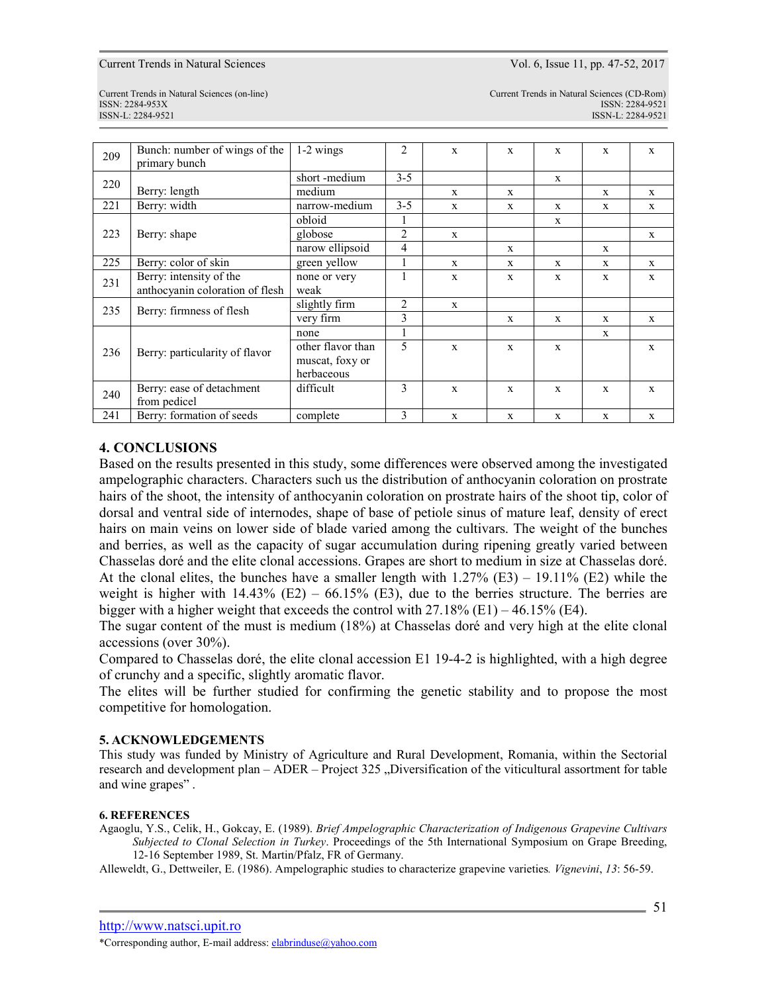Current Trends in Natural Sciences Vol. 6, Issue 11, pp. 47-52, 2017

ISSN-L: 2284-9521 ISSN-L: 2284-9521

Current Trends in Natural Sciences (on-line) Current Trends in Natural Sciences (CD-Rom) ISSN: 2284-953XISSN: 2284-9521

| 209 | Bunch: number of wings of the   | 1-2 wings         | 2       | X            | $\mathbf{x}$ | $\mathbf{x}$ | X            | X            |
|-----|---------------------------------|-------------------|---------|--------------|--------------|--------------|--------------|--------------|
|     | primary bunch                   |                   |         |              |              |              |              |              |
| 220 |                                 | short-medium      | $3 - 5$ |              |              | $\mathbf x$  |              |              |
|     | Berry: length                   | medium            |         | X            | X            |              | $\mathbf{x}$ | $\mathbf{X}$ |
| 221 | Berry: width                    | narrow-medium     | $3 - 5$ | X            | X            | X            | X            | X            |
|     |                                 | obloid            | 1       |              |              | $\mathbf{x}$ |              |              |
| 223 | Berry: shape                    | globose           | 2       | $\mathbf{x}$ |              |              |              | $\mathbf{x}$ |
|     |                                 | narow ellipsoid   | 4       |              | $\mathbf{x}$ |              | $\mathbf{x}$ |              |
| 225 | Berry: color of skin            | green yellow      |         | $\mathbf{x}$ | $\mathbf{x}$ | $\mathbf{x}$ | $\mathbf{x}$ | $\mathbf{X}$ |
| 231 | Berry: intensity of the         | none or very      |         | $\mathbf x$  | X            | X            | $\mathbf{x}$ | $\mathbf x$  |
|     | anthocyanin coloration of flesh | weak              |         |              |              |              |              |              |
| 235 | Berry: firmness of flesh        | slightly firm     | 2       | $\mathbf x$  |              |              |              |              |
|     |                                 | very firm         | 3       |              | X            | $\mathbf x$  | $\mathbf{x}$ | $\mathbf x$  |
|     | Berry: particularity of flavor  | none              |         |              |              |              | $\mathbf x$  |              |
| 236 |                                 | other flavor than | 5       | $\mathbf x$  | X            | X            |              | X            |
|     |                                 | muscat, foxy or   |         |              |              |              |              |              |
|     |                                 | herbaceous        |         |              |              |              |              |              |
| 240 | Berry: ease of detachment       | difficult         | 3       | $\mathbf x$  | X            | X            | X            | $\mathbf X$  |
|     | from pedicel                    |                   |         |              |              |              |              |              |
| 241 | Berry: formation of seeds       | complete          | 3       | X            | X            | X            | X            | $\mathbf X$  |

## **4. CONCLUSIONS**

Based on the results presented in this study, some differences were observed among the investigated ampelographic characters. Characters such us the distribution of anthocyanin coloration on prostrate hairs of the shoot, the intensity of anthocyanin coloration on prostrate hairs of the shoot tip, color of dorsal and ventral side of internodes, shape of base of petiole sinus of mature leaf, density of erect hairs on main veins on lower side of blade varied among the cultivars. The weight of the bunches and berries, as well as the capacity of sugar accumulation during ripening greatly varied between Chasselas doré and the elite clonal accessions. Grapes are short to medium in size at Chasselas doré. At the clonal elites, the bunches have a smaller length with  $1.27\%$  (E3) – 19.11% (E2) while the weight is higher with  $14.43\%$  (E2) – 66.15% (E3), due to the berries structure. The berries are bigger with a higher weight that exceeds the control with  $27.18\%$  (E1) – 46.15% (E4).

The sugar content of the must is medium (18%) at Chasselas doré and very high at the elite clonal accessions (over 30%).

Compared to Chasselas doré, the elite clonal accession E1 19-4-2 is highlighted, with a high degree of crunchy and a specific, slightly aromatic flavor.

The elites will be further studied for confirming the genetic stability and to propose the most competitive for homologation.

### **5. ACKNOWLEDGEMENTS**

This study was funded by Ministry of Agriculture and Rural Development, Romania, within the Sectorial research and development plan – ADER – Project 325 "Diversification of the viticultural assortment for table and wine grapes" .

### **6. REFERENCES**

Agaoglu, Y.S., Celik, H., Gokcay, E. (1989). *Brief Ampelographic Characterization of Indigenous Grapevine Cultivars Subjected to Clonal Selection in Turkey*. Proceedings of the 5th International Symposium on Grape Breeding, 12-16 September 1989, St. Martin/Pfalz, FR of Germany.

Alleweldt, G., Dettweiler, E. (1986). Ampelographic studies to characterize grapevine varieties*. Vignevini*, *13*: 56-59.